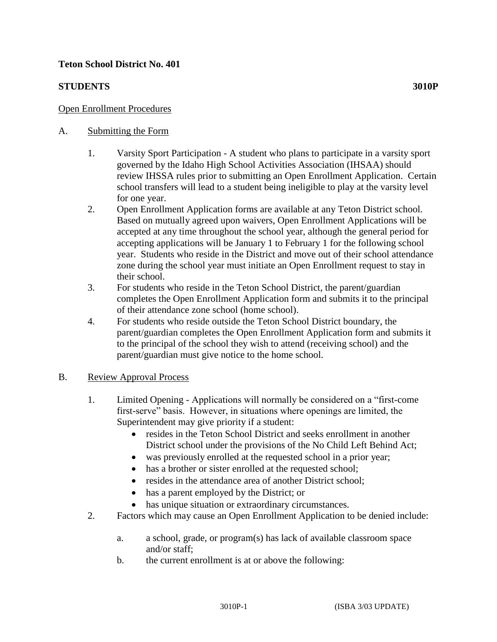### **Teton School District No. 401**

#### **STUDENTS** 3010P

### A. Submitting the Form

- 1. Varsity Sport Participation A student who plans to participate in a varsity sport governed by the Idaho High School Activities Association (IHSAA) should review IHSSA rules prior to submitting an Open Enrollment Application. Certain school transfers will lead to a student being ineligible to play at the varsity level for one year.
- 2. Open Enrollment Application forms are available at any Teton District school. Based on mutually agreed upon waivers, Open Enrollment Applications will be accepted at any time throughout the school year, although the general period for accepting applications will be January 1 to February 1 for the following school year. Students who reside in the District and move out of their school attendance zone during the school year must initiate an Open Enrollment request to stay in their school.
- 3. For students who reside in the Teton School District, the parent/guardian completes the Open Enrollment Application form and submits it to the principal of their attendance zone school (home school).
- 4. For students who reside outside the Teton School District boundary, the parent/guardian completes the Open Enrollment Application form and submits it to the principal of the school they wish to attend (receiving school) and the parent/guardian must give notice to the home school.

#### B. Review Approval Process

- 1. Limited Opening Applications will normally be considered on a "first-come first-serve" basis. However, in situations where openings are limited, the Superintendent may give priority if a student:
	- resides in the Teton School District and seeks enrollment in another District school under the provisions of the No Child Left Behind Act;
	- was previously enrolled at the requested school in a prior year;
	- has a brother or sister enrolled at the requested school;
	- resides in the attendance area of another District school;
	- has a parent employed by the District; or
	- has unique situation or extraordinary circumstances.
- 2. Factors which may cause an Open Enrollment Application to be denied include:
	- a. a school, grade, or program(s) has lack of available classroom space and/or staff;
	- b. the current enrollment is at or above the following: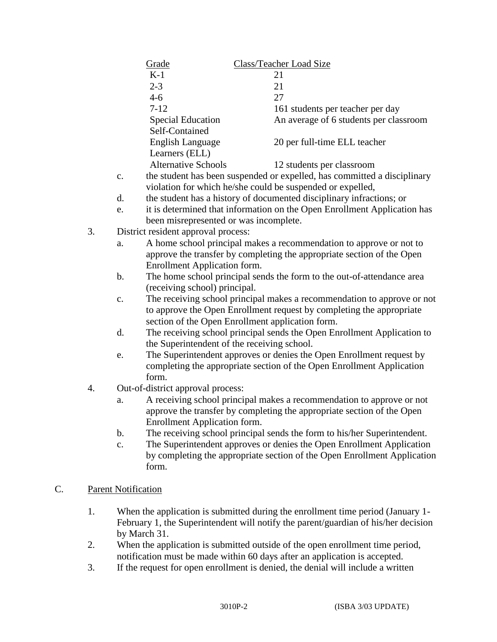|    |                                                                                                       |                                                                                                                                                                                       | Grade                                                                  |                                                                         | Class/Teacher Load Size                                                                                                                         |  |
|----|-------------------------------------------------------------------------------------------------------|---------------------------------------------------------------------------------------------------------------------------------------------------------------------------------------|------------------------------------------------------------------------|-------------------------------------------------------------------------|-------------------------------------------------------------------------------------------------------------------------------------------------|--|
|    |                                                                                                       |                                                                                                                                                                                       | $K-1$                                                                  |                                                                         | 21                                                                                                                                              |  |
|    |                                                                                                       |                                                                                                                                                                                       | $2 - 3$                                                                |                                                                         | 21                                                                                                                                              |  |
|    |                                                                                                       |                                                                                                                                                                                       | $4 - 6$                                                                |                                                                         | 27                                                                                                                                              |  |
|    |                                                                                                       |                                                                                                                                                                                       | $7 - 12$                                                               |                                                                         | 161 students per teacher per day                                                                                                                |  |
|    |                                                                                                       |                                                                                                                                                                                       | <b>Special Education</b><br>Self-Contained                             |                                                                         | An average of 6 students per classroom                                                                                                          |  |
|    |                                                                                                       |                                                                                                                                                                                       | <b>English Language</b><br>Learners (ELL)                              |                                                                         | 20 per full-time ELL teacher                                                                                                                    |  |
|    |                                                                                                       |                                                                                                                                                                                       | <b>Alternative Schools</b>                                             |                                                                         | 12 students per classroom                                                                                                                       |  |
|    |                                                                                                       | $\mathbf{c}$ .                                                                                                                                                                        |                                                                        |                                                                         | the student has been suspended or expelled, has committed a disciplinary<br>violation for which he/she could be suspended or expelled,          |  |
| d. |                                                                                                       |                                                                                                                                                                                       |                                                                        | the student has a history of documented disciplinary infractions; or    |                                                                                                                                                 |  |
|    |                                                                                                       | it is determined that information on the Open Enrollment Application has<br>e.                                                                                                        |                                                                        |                                                                         |                                                                                                                                                 |  |
|    |                                                                                                       |                                                                                                                                                                                       | been misrepresented or was incomplete.                                 |                                                                         |                                                                                                                                                 |  |
|    | 3.                                                                                                    |                                                                                                                                                                                       | District resident approval process:                                    |                                                                         |                                                                                                                                                 |  |
|    |                                                                                                       | a.                                                                                                                                                                                    |                                                                        |                                                                         | A home school principal makes a recommendation to approve or not to                                                                             |  |
|    |                                                                                                       |                                                                                                                                                                                       |                                                                        |                                                                         | approve the transfer by completing the appropriate section of the Open                                                                          |  |
|    |                                                                                                       |                                                                                                                                                                                       | Enrollment Application form.                                           |                                                                         |                                                                                                                                                 |  |
|    |                                                                                                       | b.                                                                                                                                                                                    | The home school principal sends the form to the out-of-attendance area |                                                                         |                                                                                                                                                 |  |
|    |                                                                                                       |                                                                                                                                                                                       | (receiving school) principal.                                          |                                                                         |                                                                                                                                                 |  |
|    |                                                                                                       | $\mathbf{c}$ .                                                                                                                                                                        |                                                                        |                                                                         | The receiving school principal makes a recommendation to approve or not<br>to approve the Open Enrollment request by completing the appropriate |  |
|    | section of the Open Enrollment application form.<br>d.<br>the Superintendent of the receiving school. |                                                                                                                                                                                       |                                                                        | The receiving school principal sends the Open Enrollment Application to |                                                                                                                                                 |  |
|    |                                                                                                       | e.                                                                                                                                                                                    |                                                                        |                                                                         | The Superintendent approves or denies the Open Enrollment request by                                                                            |  |
|    |                                                                                                       |                                                                                                                                                                                       |                                                                        |                                                                         | completing the appropriate section of the Open Enrollment Application                                                                           |  |
|    | 4.                                                                                                    | form.<br>Out-of-district approval process:                                                                                                                                            |                                                                        |                                                                         |                                                                                                                                                 |  |
|    |                                                                                                       |                                                                                                                                                                                       |                                                                        |                                                                         |                                                                                                                                                 |  |
| a. |                                                                                                       |                                                                                                                                                                                       | Enrollment Application form.                                           |                                                                         | A receiving school principal makes a recommendation to approve or not<br>approve the transfer by completing the appropriate section of the Open |  |
|    |                                                                                                       | $\mathbf b$ .                                                                                                                                                                         |                                                                        |                                                                         | The receiving school principal sends the form to his/her Superintendent.                                                                        |  |
|    |                                                                                                       | c.                                                                                                                                                                                    |                                                                        |                                                                         | The Superintendent approves or denies the Open Enrollment Application                                                                           |  |
|    |                                                                                                       |                                                                                                                                                                                       | form.                                                                  |                                                                         | by completing the appropriate section of the Open Enrollment Application                                                                        |  |
| C. | <b>Parent Notification</b>                                                                            |                                                                                                                                                                                       |                                                                        |                                                                         |                                                                                                                                                 |  |
|    | 1.                                                                                                    | When the application is submitted during the enrollment time period (January 1-<br>February 1, the Superintendent will notify the parent/guardian of his/her decision<br>by March 31. |                                                                        |                                                                         |                                                                                                                                                 |  |

- 2. When the application is submitted outside of the open enrollment time period, notification must be made within 60 days after an application is accepted.
- 3. If the request for open enrollment is denied, the denial will include a written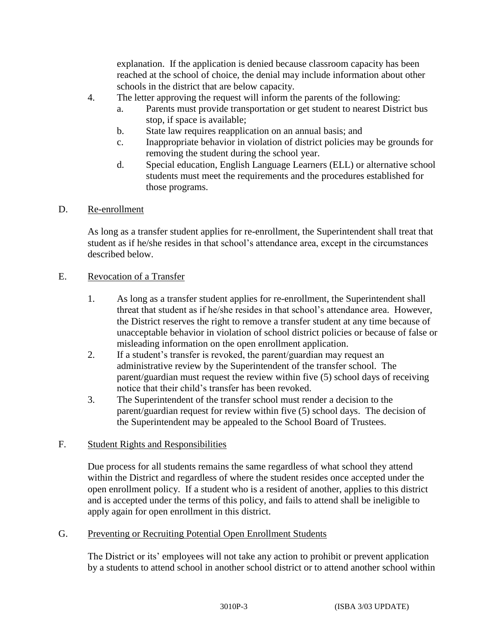explanation. If the application is denied because classroom capacity has been reached at the school of choice, the denial may include information about other schools in the district that are below capacity.

- 4. The letter approving the request will inform the parents of the following:
	- a. Parents must provide transportation or get student to nearest District bus stop, if space is available;
	- b. State law requires reapplication on an annual basis; and
	- c. Inappropriate behavior in violation of district policies may be grounds for removing the student during the school year.
	- d. Special education, English Language Learners (ELL) or alternative school students must meet the requirements and the procedures established for those programs.

#### D. Re-enrollment

As long as a transfer student applies for re-enrollment, the Superintendent shall treat that student as if he/she resides in that school's attendance area, except in the circumstances described below.

#### E. Revocation of a Transfer

- 1. As long as a transfer student applies for re-enrollment, the Superintendent shall threat that student as if he/she resides in that school's attendance area. However, the District reserves the right to remove a transfer student at any time because of unacceptable behavior in violation of school district policies or because of false or misleading information on the open enrollment application.
- 2. If a student's transfer is revoked, the parent/guardian may request an administrative review by the Superintendent of the transfer school. The parent/guardian must request the review within five (5) school days of receiving notice that their child's transfer has been revoked.
- 3. The Superintendent of the transfer school must render a decision to the parent/guardian request for review within five (5) school days. The decision of the Superintendent may be appealed to the School Board of Trustees.

## F. Student Rights and Responsibilities

Due process for all students remains the same regardless of what school they attend within the District and regardless of where the student resides once accepted under the open enrollment policy. If a student who is a resident of another, applies to this district and is accepted under the terms of this policy, and fails to attend shall be ineligible to apply again for open enrollment in this district.

## G. Preventing or Recruiting Potential Open Enrollment Students

The District or its' employees will not take any action to prohibit or prevent application by a students to attend school in another school district or to attend another school within